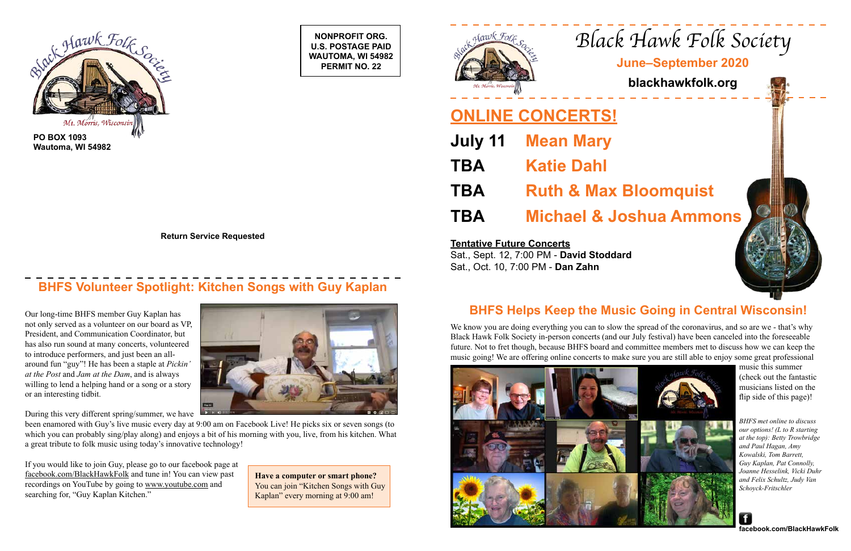**NONPROFIT ORG. U.S. POSTAGE PAID WAUTOMA, WI 54982 PERMIT NO. 22**





**Wautoma, WI 54982**

**Return Service Requested**

# *Black Hawk Folk Society*

## **Bloomquist TBA Michael & Joshua Ammons**

### **June–September 2020**

### **blackhawkfolk.org**

### **ONLINE CONCERTS!**

| July 11 | <b>Mean Mary</b>        |
|---------|-------------------------|
| TBA     | <b>Katie Dahl</b>       |
| TBA     | <b>Ruth &amp; Max</b>   |
| TBA     | <b>Michael &amp; Jo</b> |

### **Tentative Future Concerts**

Sat., Sept. 12, 7:00 PM - **David Stoddard** Sat., Oct. 10, 7:00 PM - **Dan Zahn**

### **BHFS Volunteer Spotlight: Kitchen Songs with Guy Kaplan**

We know you are doing everything you can to slow the spread of the coronavirus, and so are we - that's why Black Hawk Folk Society in-person concerts (and our July festival) have been canceled into the foreseeable future. Not to fret though, because BHFS board and committee members met to discuss how we can keep the music going! We are offering online concerts to make sure you are still able to enjoy some great professional



### **BHFS Helps Keep the Music Going in Central Wisconsin!**

music this summer (check out the fantastic musicians listed on the flip side of this page)!



Our long-time BHFS member Guy Kaplan has not only served as a volunteer on our board as VP, President, and Communication Coordinator, but has also run sound at many concerts, volunteered to introduce performers, and just been an allaround fun "guy"! He has been a staple at *Pickin' at the Post* and *Jam at the Dam*, and is always willing to lend a helping hand or a song or a story or an interesting tidbit.

During this very different spring/summer, we have

been enamored with Guy's live music every day at 9:00 am on Facebook Live! He picks six or seven songs (to which you can probably sing/play along) and enjoys a bit of his morning with you, live, from his kitchen. What a great tribute to folk music using today's innovative technology!

If you would like to join Guy, please go to our facebook page at facebook.com/BlackHawkFolk and tune in! You can view past recordings on YouTube by going to www.youtube.com and searching for, "Guy Kaplan Kitchen."

**Have a computer or smart phone?**  You can join "Kitchen Songs with Guy Kaplan" every morning at 9:00 am!



*BHFS met online to discuss our options! (L to R starting at the top): Betty Trowbridge and Paul Hagan, Amy Kowalski, Tom Barrett, Guy Kaplan, Pat Connolly, Joanne Hesselink, Vicki Duhr and Felix Schultz, Judy Van Schoyck-Fritschler*